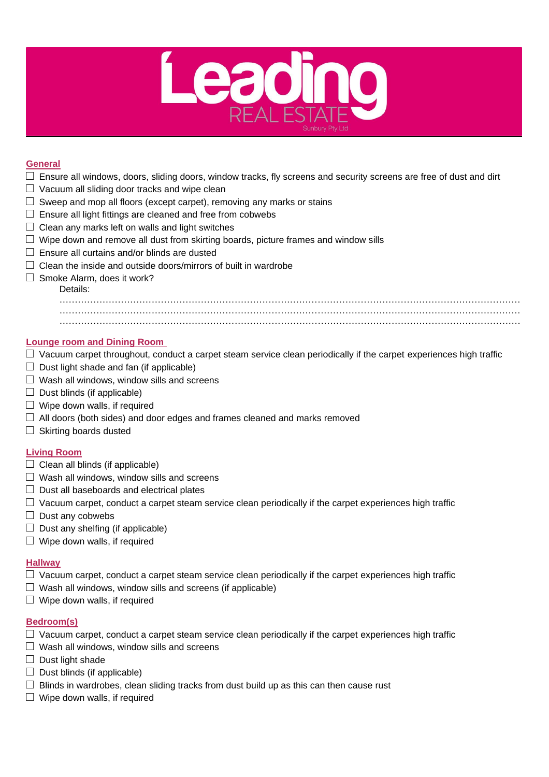

### **General**

- $\Box$  Ensure all windows, doors, sliding doors, window tracks, fly screens and security screens are free of dust and dirt
- $\Box$  Vacuum all sliding door tracks and wipe clean
- $\square$  Sweep and mop all floors (except carpet), removing any marks or stains
- $\square$  Ensure all light fittings are cleaned and free from cobwebs
- $\Box$  Clean any marks left on walls and light switches
- $\square$  Wipe down and remove all dust from skirting boards, picture frames and window sills
- $\square$  Ensure all curtains and/or blinds are dusted
- $\Box$  Clean the inside and outside doors/mirrors of built in wardrobe
- $\square$  Smoke Alarm, does it work?

# Details:

…………………………………………………………………………………………………………………………………… …………………………………………………………………………………………………………………………………… . The contract of the contract of the contract of the contract of the contract of the contract of the contract of the contract of the contract of the contract of the contract of the contract of the contract of the contrac

### **Lounge room and Dining Room**

- $\Box$  Vacuum carpet throughout, conduct a carpet steam service clean periodically if the carpet experiences high traffic
- $\Box$  Dust light shade and fan (if applicable)
- $\Box$  Wash all windows, window sills and screens
- $\Box$  Dust blinds (if applicable)
- $\Box$  Wipe down walls, if required
- $\Box$  All doors (both sides) and door edges and frames cleaned and marks removed
- $\Box$  Skirting boards dusted

# **Living Room**

- $\Box$  Clean all blinds (if applicable)
- $\Box$  Wash all windows, window sills and screens
- $\Box$  Dust all baseboards and electrical plates
- $\Box$  Vacuum carpet, conduct a carpet steam service clean periodically if the carpet experiences high traffic
- $\Box$  Dust any cobwebs
- $\Box$  Dust any shelfing (if applicable)
- $\Box$  Wipe down walls, if required

#### **Hallway**

- $\Box$  Vacuum carpet, conduct a carpet steam service clean periodically if the carpet experiences high traffic
- $\Box$  Wash all windows, window sills and screens (if applicable)
- $\square$  Wipe down walls, if required

# **Bedroom(s)**

- $\Box$  Vacuum carpet, conduct a carpet steam service clean periodically if the carpet experiences high traffic
- $\Box$  Wash all windows, window sills and screens
- $\Box$  Dust light shade
- $\Box$  Dust blinds (if applicable)
- $\Box$  Blinds in wardrobes, clean sliding tracks from dust build up as this can then cause rust
- $\Box$  Wipe down walls, if required